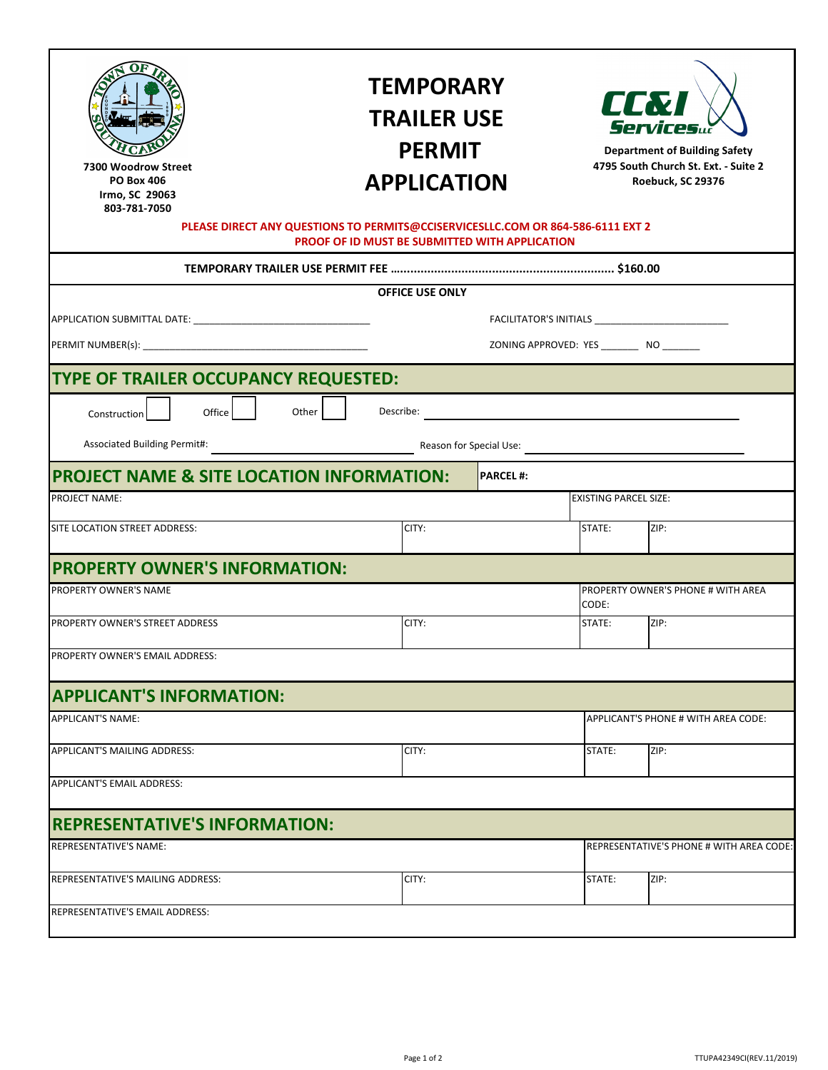| West M in Street<br>Wi i mston SC<br>4 4 4           | <b>TEMPORARY</b><br><b>TRAILER USE</b><br><b>PERMIT</b><br><b>APPLICATION</b>                                                     |                 | <b>EL X</b><br>Services<br><b>Department of Building Safety</b><br>4795 South Church St. Ext. - Suite 2<br>Roebuck, SC 29376 |                                          |
|------------------------------------------------------|-----------------------------------------------------------------------------------------------------------------------------------|-----------------|------------------------------------------------------------------------------------------------------------------------------|------------------------------------------|
|                                                      | PLEASE DIRECT ANY QUESTIONS TO PERMITS@CCISERVICESLLC.COM OR 864-586-6111 EXT 2<br>PROOF OF ID MUST BE SUBMITTED WITH APPLICATION |                 |                                                                                                                              |                                          |
|                                                      |                                                                                                                                   |                 |                                                                                                                              |                                          |
|                                                      | <b>OFFICE USE ONLY</b>                                                                                                            |                 |                                                                                                                              |                                          |
|                                                      |                                                                                                                                   |                 |                                                                                                                              |                                          |
|                                                      |                                                                                                                                   |                 | ZONING APPROVED: YES ___________ NO ________                                                                                 |                                          |
| TYPE OF TRAILER OCCUPANCY REQUESTED:                 |                                                                                                                                   |                 |                                                                                                                              |                                          |
| Office<br>Other<br>Construction                      | Describe:                                                                                                                         |                 | <u> 1980 - Johann John Stone, mars eta biztanleria (</u>                                                                     |                                          |
|                                                      |                                                                                                                                   |                 |                                                                                                                              |                                          |
| <b>PROJECT NAME &amp; SITE LOCATION INFORMATION:</b> |                                                                                                                                   | <b>PARCEL#:</b> |                                                                                                                              |                                          |
| PROJECT NAME:                                        |                                                                                                                                   |                 | <b>EXISTING PARCEL SIZE:</b>                                                                                                 |                                          |
| SITE LOCATION STREET ADDRESS:                        | CITY:                                                                                                                             |                 | STATE:                                                                                                                       | ZIP:                                     |
| <b>PROPERTY OWNER'S INFORMATION:</b>                 |                                                                                                                                   |                 |                                                                                                                              |                                          |
| PROPERTY OWNER'S NAME                                |                                                                                                                                   |                 | CODE:                                                                                                                        | PROPERTY OWNER'S PHONE # WITH AREA       |
| PROPERTY OWNER'S STREET ADDRESS                      | CITY:                                                                                                                             |                 | STATE:                                                                                                                       | ZIP:                                     |
| PROPERTY OWNER'S EMAIL ADDRESS:                      |                                                                                                                                   |                 |                                                                                                                              |                                          |
| <b>APPLICANT'S INFORMATION:</b>                      |                                                                                                                                   |                 |                                                                                                                              |                                          |
| <b>APPLICANT'S NAME:</b>                             |                                                                                                                                   |                 |                                                                                                                              | APPLICANT'S PHONE # WITH AREA CODE:      |
| APPLICANT'S MAILING ADDRESS:                         | CITY:                                                                                                                             |                 | STATE:                                                                                                                       | ZIP:                                     |
| <b>APPLICANT'S EMAIL ADDRESS:</b>                    |                                                                                                                                   |                 |                                                                                                                              |                                          |
| <b>REPRESENTATIVE'S INFORMATION:</b>                 |                                                                                                                                   |                 |                                                                                                                              |                                          |
| REPRESENTATIVE'S NAME:                               |                                                                                                                                   |                 |                                                                                                                              | REPRESENTATIVE'S PHONE # WITH AREA CODE: |
| REPRESENTATIVE'S MAILING ADDRESS:                    | CITY:                                                                                                                             |                 | STATE:                                                                                                                       | ZIP:                                     |
| REPRESENTATIVE'S EMAIL ADDRESS:                      |                                                                                                                                   |                 |                                                                                                                              |                                          |